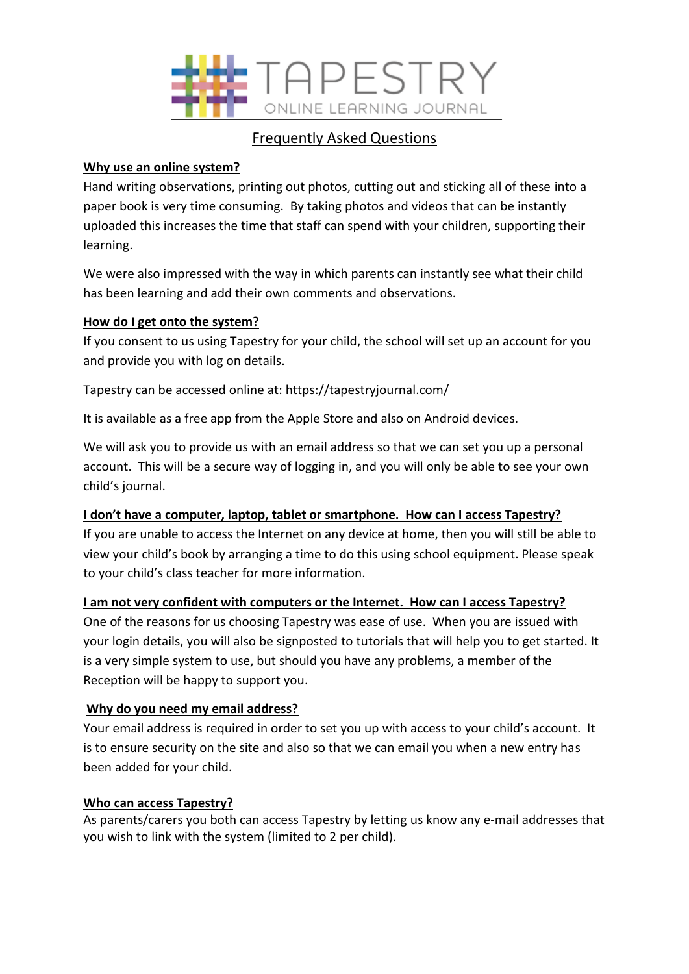

# Frequently Asked Questions

### **Why use an online system?**

Hand writing observations, printing out photos, cutting out and sticking all of these into a paper book is very time consuming. By taking photos and videos that can be instantly uploaded this increases the time that staff can spend with your children, supporting their learning.

We were also impressed with the way in which parents can instantly see what their child has been learning and add their own comments and observations.

# **How do I get onto the system?**

If you consent to us using Tapestry for your child, the school will set up an account for you and provide you with log on details.

Tapestry can be accessed online at: https://tapestryjournal.com/

It is available as a free app from the Apple Store and also on Android devices.

We will ask you to provide us with an email address so that we can set you up a personal account. This will be a secure way of logging in, and you will only be able to see your own child's journal.

# **I don't have a computer, laptop, tablet or smartphone. How can I access Tapestry?**

If you are unable to access the Internet on any device at home, then you will still be able to view your child's book by arranging a time to do this using school equipment. Please speak to your child's class teacher for more information.

# **I am not very confident with computers or the Internet. How can I access Tapestry?**

One of the reasons for us choosing Tapestry was ease of use. When you are issued with your login details, you will also be signposted to tutorials that will help you to get started. It is a very simple system to use, but should you have any problems, a member of the Reception will be happy to support you.

#### **Why do you need my email address?**

Your email address is required in order to set you up with access to your child's account. It is to ensure security on the site and also so that we can email you when a new entry has been added for your child.

#### **Who can access Tapestry?**

As parents/carers you both can access Tapestry by letting us know any e-mail addresses that you wish to link with the system (limited to 2 per child).